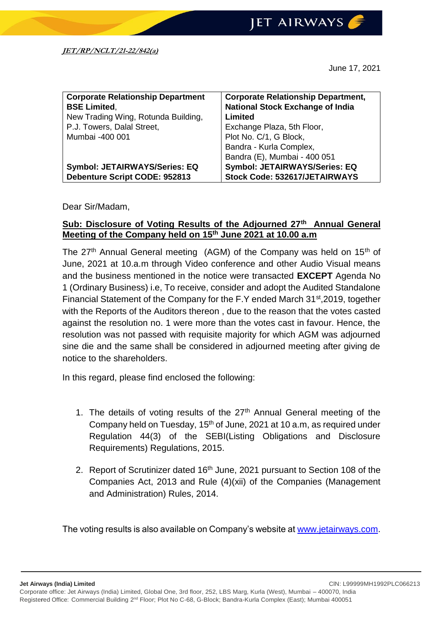**JET AIRWAYS** 

June 17, 2021

| <b>Corporate Relationship Department</b> | <b>Corporate Relationship Department,</b> |
|------------------------------------------|-------------------------------------------|
| <b>BSE Limited,</b>                      | <b>National Stock Exchange of India</b>   |
| New Trading Wing, Rotunda Building,      | Limited                                   |
| P.J. Towers, Dalal Street,               | Exchange Plaza, 5th Floor,                |
| Mumbai -400 001                          | Plot No. C/1, G Block,                    |
|                                          | Bandra - Kurla Complex,                   |
|                                          | Bandra (E), Mumbai - 400 051              |
| <b>Symbol: JETAIRWAYS/Series: EQ</b>     | <b>Symbol: JETAIRWAYS/Series: EQ</b>      |
| Debenture Script CODE: 952813            | Stock Code: 532617/JETAIRWAYS             |

## Dear Sir/Madam,

## **Sub: Disclosure of Voting Results of the Adjourned 27th Annual General Meeting of the Company held on 15th June 2021 at 10.00 a.m**

The  $27<sup>th</sup>$  Annual General meeting (AGM) of the Company was held on  $15<sup>th</sup>$  of June, 2021 at 10.a.m through Video conference and other Audio Visual means and the business mentioned in the notice were transacted **EXCEPT** Agenda No 1 (Ordinary Business) i.e, To receive, consider and adopt the Audited Standalone Financial Statement of the Company for the F.Y ended March 31<sup>st</sup>,2019, together with the Reports of the Auditors thereon , due to the reason that the votes casted against the resolution no. 1 were more than the votes cast in favour. Hence, the resolution was not passed with requisite majority for which AGM was adjourned sine die and the same shall be considered in adjourned meeting after giving de notice to the shareholders.

In this regard, please find enclosed the following:

- 1. The details of voting results of the  $27<sup>th</sup>$  Annual General meeting of the Company held on Tuesday, 15<sup>th</sup> of June, 2021 at 10 a.m, as required under Regulation 44(3) of the SEBI(Listing Obligations and Disclosure Requirements) Regulations, 2015.
- 2. Report of Scrutinizer dated 16<sup>th</sup> June, 2021 pursuant to Section 108 of the Companies Act, 2013 and Rule (4)(xii) of the Companies (Management and Administration) Rules, 2014.

The voting results is also available on Company's website at [www.jetairways.com.](http://www.jetairways.com/)